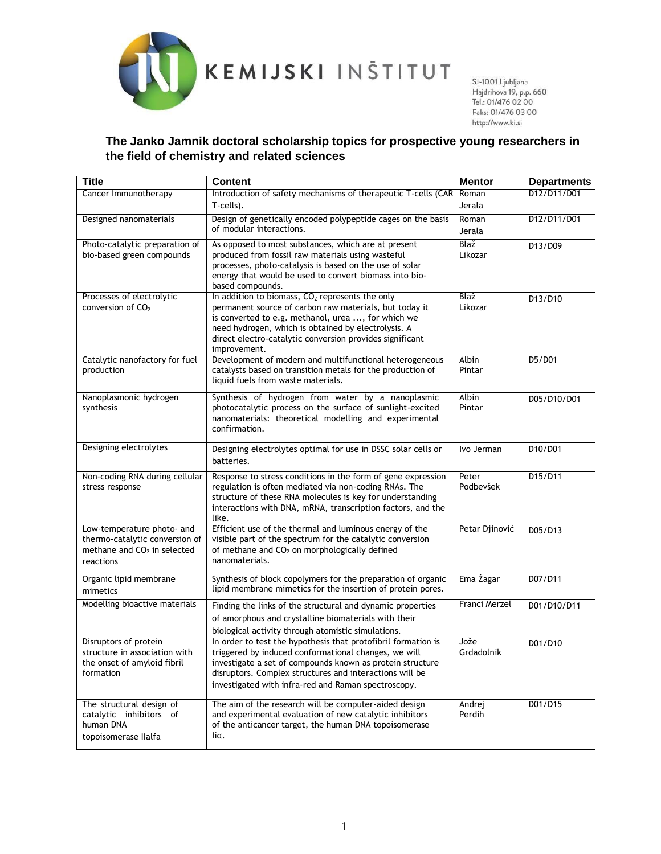

http://www.ki.si

## **The Janko Jamnik doctoral scholarship topics for prospective young researchers in the field of chemistry and related sciences**

| <b>Title</b>                                                              | Content                                                                                                                     | <b>Mentor</b>   | <b>Departments</b> |
|---------------------------------------------------------------------------|-----------------------------------------------------------------------------------------------------------------------------|-----------------|--------------------|
| Cancer Immunotherapy                                                      | Introduction of safety mechanisms of therapeutic T-cells (CAR                                                               | Roman           | D12/D11/D01        |
|                                                                           | T-cells).                                                                                                                   | Jerala          |                    |
| Designed nanomaterials                                                    | Design of genetically encoded polypeptide cages on the basis<br>of modular interactions.                                    | Roman           | D12/D11/D01        |
|                                                                           |                                                                                                                             | Jerala          |                    |
| Photo-catalytic preparation of<br>bio-based green compounds               | As opposed to most substances, which are at present<br>produced from fossil raw materials using wasteful                    | Blaž<br>Likozar | D13/D09            |
|                                                                           | processes, photo-catalysis is based on the use of solar                                                                     |                 |                    |
|                                                                           | energy that would be used to convert biomass into bio-                                                                      |                 |                    |
| Processes of electrolytic                                                 | based compounds.<br>In addition to biomass, CO <sub>2</sub> represents the only                                             | Blaž            | D13/D10            |
| conversion of $CO2$                                                       | permanent source of carbon raw materials, but today it                                                                      | Likozar         |                    |
|                                                                           | is converted to e.g. methanol, urea , for which we                                                                          |                 |                    |
|                                                                           | need hydrogen, which is obtained by electrolysis. A<br>direct electro-catalytic conversion provides significant             |                 |                    |
|                                                                           | improvement.                                                                                                                |                 |                    |
| Catalytic nanofactory for fuel                                            | Development of modern and multifunctional heterogeneous                                                                     | Albin           | D5/D01             |
| production                                                                | catalysts based on transition metals for the production of<br>liquid fuels from waste materials.                            | Pintar          |                    |
|                                                                           |                                                                                                                             |                 |                    |
| Nanoplasmonic hydrogen<br>synthesis                                       | Synthesis of hydrogen from water by a nanoplasmic<br>photocatalytic process on the surface of sunlight-excited              | Albin<br>Pintar | D05/D10/D01        |
|                                                                           | nanomaterials: theoretical modelling and experimental                                                                       |                 |                    |
|                                                                           | confirmation.                                                                                                               |                 |                    |
| Designing electrolytes                                                    | Designing electrolytes optimal for use in DSSC solar cells or                                                               | Ivo Jerman      | D10/D01            |
|                                                                           | batteries.                                                                                                                  |                 |                    |
| Non-coding RNA during cellular                                            | Response to stress conditions in the form of gene expression                                                                | Peter           | D15/D11            |
| stress response                                                           | regulation is often mediated via non-coding RNAs. The                                                                       | Podbevšek       |                    |
|                                                                           | structure of these RNA molecules is key for understanding<br>interactions with DNA, mRNA, transcription factors, and the    |                 |                    |
|                                                                           | like.                                                                                                                       |                 |                    |
| Low-temperature photo- and                                                | Efficient use of the thermal and luminous energy of the                                                                     | Petar Djinović  | D05/D13            |
| thermo-catalytic conversion of<br>methane and CO <sub>2</sub> in selected | visible part of the spectrum for the catalytic conversion<br>of methane and CO <sub>2</sub> on morphologically defined      |                 |                    |
| reactions                                                                 | nanomaterials.                                                                                                              |                 |                    |
|                                                                           |                                                                                                                             |                 | D07/D11            |
| Organic lipid membrane<br>mimetics                                        | Synthesis of block copolymers for the preparation of organic<br>lipid membrane mimetics for the insertion of protein pores. | Ema Žagar       |                    |
| Modelling bioactive materials                                             | Finding the links of the structural and dynamic properties                                                                  | Franci Merzel   | D01/D10/D11        |
|                                                                           | of amorphous and crystalline biomaterials with their                                                                        |                 |                    |
|                                                                           | biological activity through atomistic simulations.                                                                          |                 |                    |
| Disruptors of protein                                                     | In order to test the hypothesis that protofibril formation is                                                               | Jože            | D01/D10            |
| structure in association with<br>the onset of amyloid fibril              | triggered by induced conformational changes, we will<br>investigate a set of compounds known as protein structure           | Grdadolnik      |                    |
| formation                                                                 | disruptors. Complex structures and interactions will be                                                                     |                 |                    |
|                                                                           | investigated with infra-red and Raman spectroscopy.                                                                         |                 |                    |
| The structural design of                                                  | The aim of the research will be computer-aided design                                                                       | Andrej          | D01/D15            |
| catalytic inhibitors of                                                   | and experimental evaluation of new catalytic inhibitors                                                                     | Perdih          |                    |
| human DNA                                                                 | of the anticancer target, the human DNA topoisomerase                                                                       |                 |                    |
| topoisomerase Ilalfa                                                      | liα.                                                                                                                        |                 |                    |